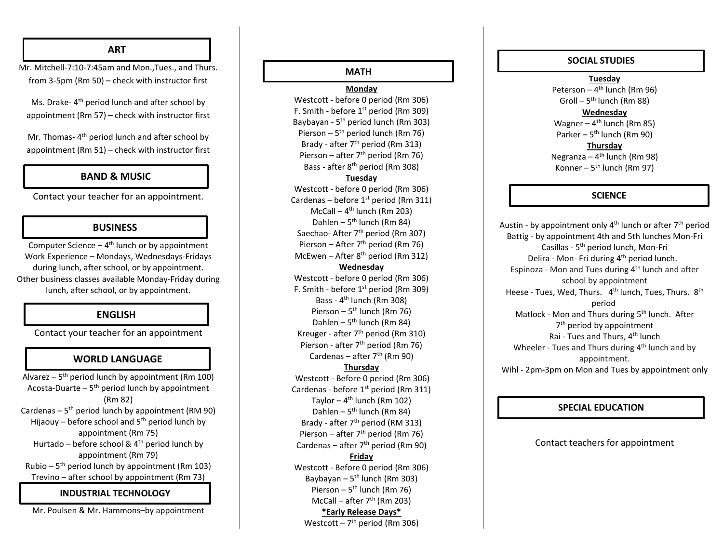## **ART**

Mr. Mitchell -7:10 -7:45am and Mon.,Tues., and Thurs. from 3 -5pm (R m 50) – check with instructor first

Ms. Drake-4<sup>th</sup> period lunch and after school by appointment (R m 57) – check with instructor first

Mr. Thomas- 4<sup>th</sup> period lunch and after school by appointment (R m 51) – check with instructor first

## **BAND & MUSIC**

Contact your teacher for an appointment.

## **BUSINESS**

Computer Science  $-4$ <sup>th</sup> lunch or by appointment Work Experience – Mondays, Wednesdays -Fridays during lunch, after school, or by appointment. Other business classes available Monday -Friday during lunch, after school, or by appointment.

# **ENGLISH**

Contact your teacher for an appointment

# **WORLD LANGUAGE**

Alvarez – 5<sup>th</sup> period lunch by appointment (Rm 100) Acosta-Duarte – 5<sup>th</sup> period lunch by appointment (R m 82) Cardenas – 5<sup>th</sup> period lunch by appointment (RM 90) Hijaouy – before school and 5<sup>th</sup> period lunch by appointment (R m 75) Hurtado – before school & 4<sup>th</sup> period lunch by appointment (R m 79) Rubio – 5<sup>th</sup> period lunch by appointment (Rm 103) Trevino – after school by appointment (R m 73)

## **INDUSTRIAL TECHNOLOGY**

Mr. Poulsen & Mr. Hammons –by appointment

# **MATH**

**Monday**

Westcott - before 0 period (Rm 306) F. Smith - before 1<sup>st</sup> period (Rm 309) Baybayan - 5<sup>th</sup> period lunch (Rm 303) Pierson - 5<sup>th</sup> period lunch (Rm 76) Brady - after 7<sup>th</sup> period (Rm 313) Pierson - after 7<sup>th</sup> period (Rm 76) Bass - after 8<sup>th</sup> period (Rm 308)

#### **Tuesday**

Westcott - before 0 period (Rm 306) Cardenas – before 1<sup>st</sup> period (Rm 311) McCall - 4<sup>th</sup> lunch (Rm 203) Dahlen – 5<sup>th</sup> lunch (Rm 84) Saechao- After 7<sup>th</sup> period (Rm 307) Pierson - After 7<sup>th</sup> period (Rm 76) McEwen - After 8<sup>th</sup> period (Rm 312) **Wednesday** Westcott - before 0 period (Rm 306) F. Smith - before 1<sup>st</sup> period (Rm 309) Bass - 4<sup>th</sup> lunch (Rm 308) Pierson – 5<sup>th</sup> lunch (Rm 76) Dahlen - 5<sup>th</sup> lunch (Rm 84) Kreuger - after 7<sup>th</sup> period (Rm 310) Pierson - after 7<sup>th</sup> period (Rm 76)

Cardenas – after 7<sup>th</sup> (Rm 90)

## **Thursday**

Westcott - Before 0 period (Rm 306) Cardenas - before 1<sup>st</sup> period (Rm 311) Taylor – 4<sup>th</sup> lunch (Rm 102) Dahlen - 5<sup>th</sup> lunch (Rm 84) Brady - after 7<sup>th</sup> period (RM 313) Pierson - after 7<sup>th</sup> period (Rm 76) Cardenas – after 7<sup>th</sup> period (Rm 90)

### **Friday**

Westcott - Before 0 period (Rm 306) Baybayan - 5<sup>th</sup> lunch (Rm 303) Pierson – 5<sup>th</sup> lunch (Rm 76) McCall – after 7<sup>th</sup> (Rm 203) **\*Early Release Days\*** Westcott – 7<sup>th</sup> period (Rm 306)

#### **Tuesday SOCIAL STUDIES**

#### **Tuesday**

Peterson – 4<sup>th</sup> lunch (Rm 96) Groll – 5<sup>th</sup> lunch (Rm 88)

#### **Wednesday**

Wagner – 4<sup>th</sup> lunch (Rm 85) Parker – 5<sup>th</sup> lunch (Rm 90)

#### **Thursday**

Negranza – 4<sup>th</sup> lunch (Rm 98) Konner – 5<sup>th</sup> lunch (Rm 97)

## **SCIENCE**

Austin - by appointment only 4<sup>th</sup> lunch or after 7<sup>th</sup> period Battig - by appointment 4th and 5th lunches Mon -Fri Casillas - 5<sup>th</sup> period lunch, Mon-Fri Delira - Mon- Fri during 4<sup>th</sup> period lunch. Espinoza - Mon and Tues during 4<sup>th</sup> lunch and after school by appointment Heese - Tues, Wed, Thurs. 4<sup>th</sup> lunch, Tues, Thurs. 8<sup>th</sup> period Matlock - Mon and Thurs during 5<sup>th</sup> lunch. After 7<sup>th</sup> period by appointment Rai - Tues and Thurs, 4<sup>th</sup> lunch Wheeler - Tues and Thurs during 4<sup>th</sup> lunch and by appointment. Wihl - 2pm -3pm on Mon and Tues by appointment only

## **SPECIAL EDUCATION**

## Contact teachers for appointment